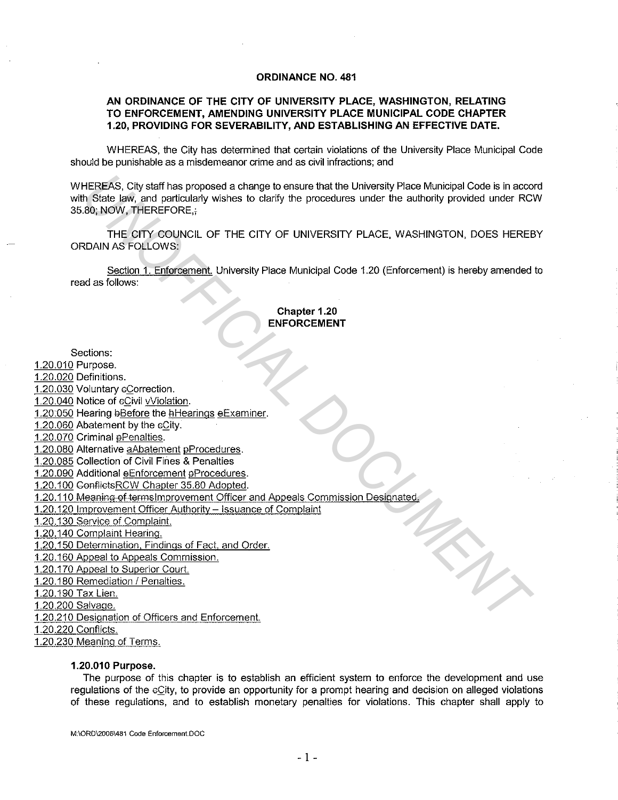#### **ORDINANCE NO. 481**

# **AN ORDINANCE OF THE CITY OF UNIVERSITY PLACE, WASHINGTON, RELATING TO ENFORCEMENT, AMENDING UNIVERSITY PLACE MUNICIPAL CODE CHAPTER 1.20, PROVIDING FOR SEVERABILITY, AND ESTABLISHING AN EFFECTIVE DATE.**

WHEREAS, the City has determined that certain violations of the University Place Municipal Code should be punishable as a misdemeanor crime and as civil infractions; and

WHEREAS, City staff has proposed a change to ensure that the University Place Municipal Code is in accord with State law, and particularly wishes to clarify the procedures under the authority provided under RCW 35.80; NOW, THEREFORE,+ **HEREAS, City staff has proposed a change to ensure that the University Place Municipal Code is in according to the Side law, and particularly wishes to clarify the procedures under the authority provided under RC 30, (BOW** 

THE CITY COUNCIL OF THE CITY OF UNIVERSITY PLACE. WASHINGTON, DOES HEREBY ORDAIN AS FOLLOWS:

Section 1. Enforcement. University Place Municipal Code 1.20 (Enforcement) is hereby amended to read as follows:

# **Chapter 1.20 ENFORCEMENT**

#### Sections:

# 1.20.010 Purpose.

1.20.020 Definitions.

1.20.030 Voluntary eCorrection.

1.20.040 Notice of cCivil vViolation.

- 1.20:050 Hearing bBefore the hHearings eExaminer.
- 1.20.060 Abatement by the  $6$ City.
- 1.20.070 Criminal ePenalties.
- 1.20.080 Alternative aAbatement pProcedures.
- 1.20.085 Collection of Civil Fines & Penalties

1.20.090 Additional eEnforcement aProcedures.

1.20.100 ConfiidsRCW Chapter 35.80 Adopted.

- 1.20.110 Meaning of termslmprovement Officer and Appeals Commission Designated
- 1.20.120 Improvement Officer Authority Issuance of Complaint

1.20.130 Service of Complaint.

1.20.140 Complaint Hearing.

1.20.150 Determination, Findings of Fact, and Order.

1.20.160 Appeal to Appeals Commission.

1.20.170 Appeal to Superior Court.

1.20.180 Remediation / Penalties.

1.20.190 Tax Lien.

1.20.200 Salvage.

1.20.210 Designation of Officers and Enforcement.

1.20.220 Confiicts.

1.20.230 Meaning of Terms.

#### **1.20.010 Purpose.**

The purpose of this chapter is to establish an efficient system to enforce the development and use regulations of the eCity, to provide an opportunity for a prompt hearing and decision on alleged violations of these regulations, and to establish monetary penalties for violations. This chapter shall apply to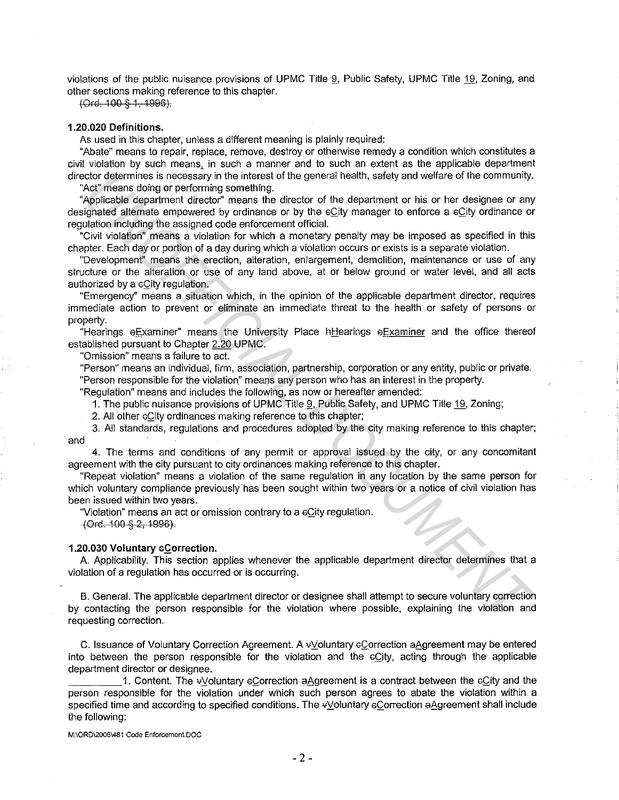violations of the public nuisance provisions of UPMC Title l), Public Safety, UPMC Title 19, Zoning, and other sections making reference to this chapter.

(Ord. 100 § 1, 1996).

# **1.20.020 Definitions.**

As used in this chapter, unless a different meaning is plainly required:

"Abate" means to repair, replace, remove, destroy or otherwise remedy a condition which constitutes a civil violation by such means, in such a manner and to such an extent as the applicable department director determines is necessary in the interest of the general health, safety and welfare of the community.

"Act" means doing or performing something.

"Applicable department director'' means the director of the department or his or her designee or any designated alternate empowered by ordinance or by the eCity manager to enforce a eCity ordinance or regulation including the assigned code enforcement official.

"Civil violation" means a violation for which a monetary penalty may be imposed as specified in this chapter. Each day or portion of a day during which a violation occurs or exists is a separate violation.

"Developmenf' means the erection, alteration, enlargement, demolition, maintenance or use of any structure or the alteration or use of any land above, at or below ground or water level, and all acts authorized by a eCity regulation.

"Emergency'' means a situation which, in the opinion of the applicable department director, requires immediate action to prevent or eliminate an immediate threat to the health or safety of persons or property.

"Hearings eExaminer" means the University Place hHearings eExaminer and the office thereof established pursuant to Chapter 2.20 UPMC.

"Omission" means a failure to act.

"Person" means an individual, firm, association, partnership, corporation or any entity, public or private. "Person responsible for the violation" means any person who has an interest in the property.

"Regulation" means and includes the following, as now or hereafter amended:

1. The public nuisance provisions of UPMC Title Q, Public Safety, and UPMC Title 19, Zoning;

.2. All other  $eC$  ity ordinances making reference to this chapter;

and 3. All standards, regulations and procedures adopted by the city making reference to this chapter;

4. The terms and conditions of any permit or approval issued by the city, or any concomitant agreement with the city pursuant to city ordinances making reference to this chapter.

"Repeat violation" means a violation of the same regulation in any location by the same person for which voluntary compliance previously has been sought within two years or a notice of civil violation has been issued within two years.

"Violation" means an act or omission contrary to a eCity regulation.

4Ord. 100-§-2, 1996).

#### **1.20.030 Voluntary sCorrection.**

A. Applicability. This section applies whenever the applicable department director determines that a violation of a regulation has occurred or is occurring.

B. General. The applicable department director or designee shall attempt to secure voluntary correction by contacting the person responsible for the violation where possible, explaining the violation and requesting correction. ndor deletmines is necessary in the internet of the general health, safety and welfare of the community. Applicable department of rise of the department of his or one designee or any phase of the department of his orientat

C. Issuance of Voluntary Correction Agreement. A vVoluntary eCorrection aAgreement may be entered into between the person responsible for the violation and the  $c$ City, acting through the applicable department director or designee.

1. Content. The vVoluntary eCorrection aAgreement is a contract between the eCity and the person responsible for the violation under which such person agrees to abate the violation within a specified time and according to specified conditions. The vVoluntary eCorrection aAgreement shall include the following: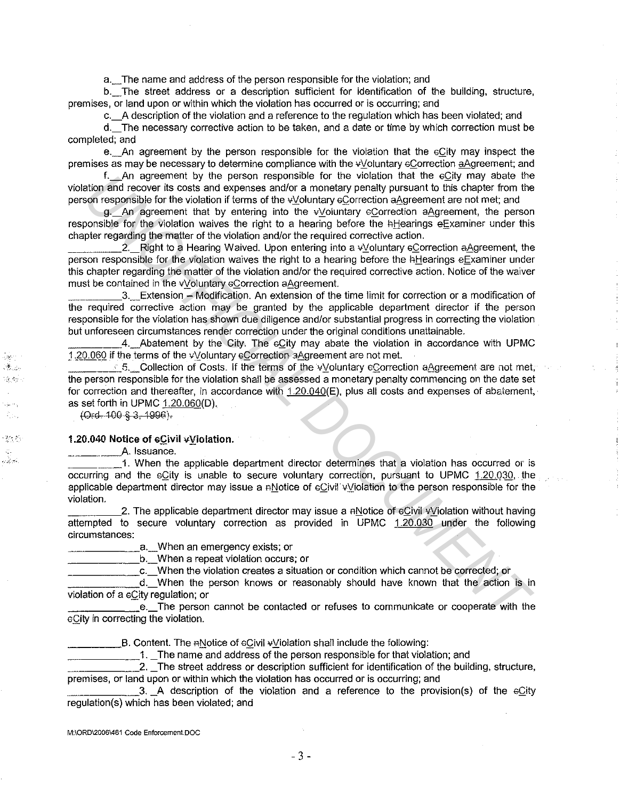a.\_ The name and address of the person responsible for the violation; and

b. The street address or a description sufficient for identification of the building, structure, premises, or land upon or within which the violation has occurred or is occurring; and

c.\_A description of the violation and a reference to the regulation which has been violated; and

d.\_ The necessary corrective action to be taken, and a date or time by which correction must be completed; and

e. An agreement by the person responsible for the violation that the eCity may inspect the premises as may be necessary to determine compliance with the  $\psi$  oluntary eCorrection aAgreement; and

f.\_An agreement by the person responsible for the violation that the GQ.ity may abate the violation and recover its costs and expenses and/or a monetary penalty pursuant to this chapter from the person responsible for the violation if terms of the vVoluntary eCorrection aAgreement are not met; and

g. An agreement that by entering into the  $\psi$  oluntary eCorrection aAgreement, the person responsible for the violation waives the right to a hearing before the hHearings eExaminer under this chapter regarding the matter of the violation and/or the required corrective action.

2. Right to a Hearing Waived. Upon entering into a vVoluntary eCorrection aAgreement, the person responsible for the violation waives the right to a hearing before the hHearings eExaminer under this chapter regarding the matter of the violation and/or the required corrective action. Notice of the waiver must be contained in the vVoluntary eCorrection aAgreement.

\_\_\_\_ 3.\_Extension - Modification. An extension of the time limit for correction or a modification of the required corrective action may be granted by the applicable department director if the person responsible for the violation has shown due diligence and/or substantial progress in correcting the violation but unforeseen circumstances render correction under the original conditions unattainable.

4. Abatement by the City. The eCity may abate the violation in accordance with UPMC 1.20.060 if the terms of the vVoluntary eCorrection aAgreement are not met.

 $\leq$  5. Collection of Costs. If the terms of the v/oluntary eCorrection aAgreement are not met, the state the person responsible for the violation shall be assessed a monetary penalty commencing on the date set for correction and thereafter, in accordance with  $1.20.040(E)$ , plus all costs and expenses of abatement, as set forth in UPMC  $1.20.060(D)$ . IT\_An agreement by the person responsible for the woletion that the cGUy may abate the method of the method in ferminal of the vigolation if element are net the method for the vigolation of the vigolation of the vigolati

 $(Ord. 100-8.3, 1996).$ 

ber 1 S. ide Agos

 $\mathcal{R} \subset \mathcal{R}$  .

#### 1.20.040 Notice of cCivil vViolation.

\_\_\_\_\_\_\_\_ A. Issuance.

\_\_\_\_\_ 1. When t\_he applicable department director determines that a violation has occurred or is occurring and the eCity is unable to secure voluntary correction, pursuant to UPMC 1.20.030, the applicable department director may issue a nNotice of eCivil vViolation to the person responsible for the violation.

2. The applicable department director may issue a  $\alpha$ -Notice of  $\alpha$ . Violation without having attempted to secure voluntary correction as provided in UPMC 1.20.030 under the following circumstances:

a. When an emergency exists; or

b. When a repeat violation occurs; or

\_\_\_\_\_\_ c.\_When the violation creates a situation or condition which cannot be corrected; or

d. When the person knows or reasonably should have known that the action is in violation of a eCity regulation; or

e. The person cannot be contacted or refuses to communicate or cooperate with the eCity in correcting the violation.

**\_\_\_\_\_\_\_\_\_\_B.** Content. The  $A$   $N$ otice of  $C$ ivil  $\sqrt{N}$  iolation shall include the following:

1. The name and address of the person responsible for that violation; and

\_\_\_\_\_\_ 2. \_The street address or description sufficient for identification of the building, structure, premises, or land upon or within which the violation has occurred or is occurring; and

 $\Box$ 3.  $\Box$  A description of the violation and a reference to the provision(s) of the  $\epsilon$ City regulation(s) which has been violated; and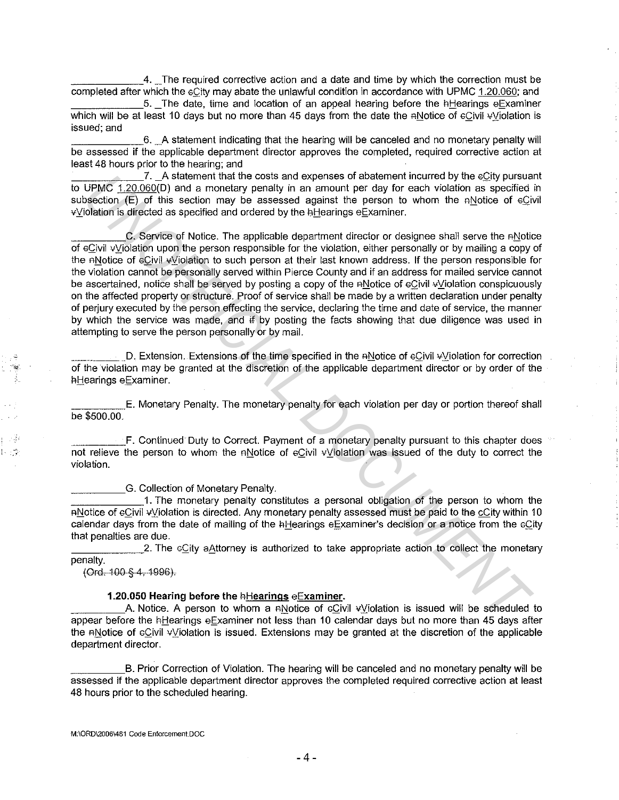\_\_\_\_\_\_ 4. \_The required corrective action and a date and time by which the correction must be completed after which the  $\epsilon$ City may abate the unlawful condition in accordance with UPMC 1.20.060; and

 $5.$  The date, time and location of an appeal hearing before the hHearings eExaminer which will be at least 10 days but no more than 45 days from the date the  $ANet$  and  $BCH$  and  $V$  is violation is issued; and

\_\_\_\_\_\_ 6. \_A statement indicating that the hearing will be canceled and no monetary penalty will be assessed if the applicable department director approves the completed, required corrective action at least 48 hours prior to the hearing; and

7. A statement that the costs and expenses of abatement incurred by the eCity pursuant to UPMC 1.20.060(0) and a monetary penalty in an amount per day for each violation as specified in subsection  $(E)$  of this section may be assessed against the person to whom the ANotice of  $E$  eCivil vViolation is directed as specified and ordered by the hHearings eExaminer.

C. Service of Notice. The applicable department director or designee shall serve the ANotice of eCivil vViolation upon the person responsible for the violation, either personally or by mailing a copy of the ANotice of eCivil vViolation to such person at their last known address. If the person responsible for the violation cannot be personally served within Pierce County and if an address for mailed service cannot be ascertained, notice shall be served by posting a copy of the ANotice of eCivil *v*Violation conspicuously on the affected property or structure. Proof of service shall be made by a written declaration under penalty of perjury executed by the person effecting the service, declaring the time and date of service, the manner by which the service was made, and if by posting the facts showing that due diligence was used in attempting to serve the person personally or by mail. **UPMC 1.20.090(D)** and a monetary penalty han amount per day the compression and opperate of the control in the control of European Control (E) of this section may be assessed against the person to whom the englotion is d

D. Extension. Extensions of the time specified in the RNotice of eCivil vViolation for correction of the violation may be granted at the discretion of the applicable department director or by order of the hHearings eExaminer.

E. Monetary Penalty. The monetary penalty for each violation per day or portion thereof shall be \$500.00.

**\_\_\_\_ F.** Continued Duty to Correct. Payment of a monetary penalty pursuant to this chapter does not relieve the person to whom the ANotice of eCivil vViolation was issued of the duty to correct the violation.

G. Collection of Monetary Penalty.

1. The monetary penalty constitutes a personal obligation of the person to whom the AMotice of eCivil vViolation is directed. Any monetary penalty assessed must be paid to the cCity within 10 calendar days from the date of mailing of the hHearings eExaminer's decision or a notice from the eCity that penalties are due.

2. The  $\epsilon$ City aAttorney is authorized to take appropriate action to collect the monetary penalty.

(Ord. 100 § 4, 1996).

#### **1.20.050 Hearing before the fiHearings eExaminer.**

A. Notice. A person to whom a RNotice of cCivil vViolation is issued will be scheduled to appear before the hHearings eExaminer not less than 10 calendar days but no more than 45 days after the ANotice of eCivil vViolation is issued. Extensions may be granted at the discretion of the applicable department director.

B. Prior Correction of Violation. The hearing will be canceled and no monetary penalty will be assessed if the applicable department director approves the completed required corrective action at least 48 hours prior to the scheduled hearing.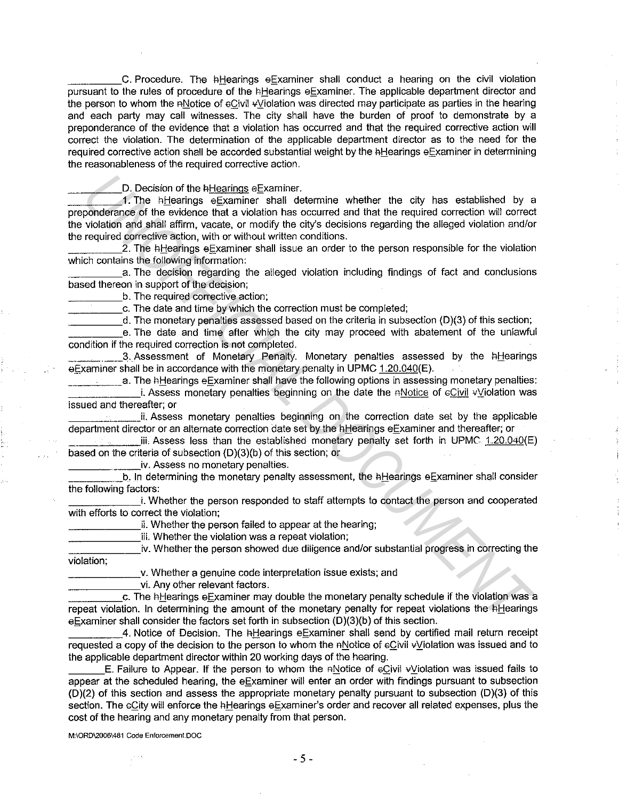C. Procedure. The hHearings eExaminer shall conduct a hearing on the civil violation pursuant to the rules of procedure of the hHearings eExaminer. The applicable department director and the person to whom the ANotice of  $eC$ ivil  $\sqrt{V}$ iolation was directed may participate as parties in the hearing and each party may call witnesses. The city shall have the burden of proof to demonstrate by a preponderance of the evidence that a violation has occurred and that the required corrective action will correct the violation. The determination of the applicable department director as to the need for the required corrective action shall be accorded substantial weight by the hHearings eExaminer in determining the reasonableness of the required corrective action.

D. Decision of the hHearings eExaminer.

1. The hHearings eExaminer shall determine whether the city has established by a preponderance of the evidence that a violation has occurred and that the required correction will correct the violation and shall affirm, vacate, or modify the city's decisions regarding the alleged violation and/or the required corrective action, with or without written conditions. **D.** Decision of the it-learnings e Examiner.<br>
The higherings e Examiner shell determine whether the city has established by conderance of the evidence that a violation has accurred and that the required correction will

2. The hHearings eExaminer shall issue an order to the person responsible for the violation which contains the following information:

a. The decision regarding the alleged violation including findings of fact and conclusions based thereon in support of the decision;

b. The required corrective action;

\_\_\_\_\_ c. The date and time by which the correction must be completed;

d. The monetary penalties assessed based on the criteria in subsection (D)(3) of this section;

e. The date and time after which the city may proceed with abatement of the unlawful condition if the required correction is not completed.

3. Assessment of Monetary Penalty. Monetary penalties assessed by the hHearings  $e$ Examiner shall be in accordance with the monetary penalty in UPMC 1.20.040(E).

a. The hHearings eExaminer shall have the following options in assessing monetary penalties: i. Assess monetary penalties beginning on the date the nNotice of eCivil vViolation was issued and thereafter; or

Lii. Assess monetary penalties beginning on the correction date set by the applicable department director or an alternate correction date set by the hHearings eExaminer and thereafter; or

 $\ddot{=}$  iii. Assess less than the established monetary penalty set forth in UPMC 1.20.040(E) based on the criteria of subsection (D)(3){b) of this section; or

iv. Assess no monetary penalties.

b. In determining the monetary penalty assessment, the hHearings eExaminer shall consider the following factors:

i. Whether the person responded to staff attempts to contact the person and cooperated with efforts to correct the violation;

ii. Whether the person failed to appear at the hearing;

iii. Whether the violation was a repeat violation;

iv. Whether the person showed due diligence and/or substantial progress in correcting the violation;

v. Whether a genuine code interpretation issue exists; and

vi. Any other relevant factors.

c. The hHearings eExaminer may double the monetary penalty schedule if the violation was a repeat violation. In determining the amount of the monetary penalty for repeat violations the hHearings eExaminer shall consider the factors set forth in subsection (D)(3)(b) of this section.

4. Notice of Decision. The hHearings eExaminer shall send by certified mail return receipt requested a copy of the decision to the person to whom the ANotice of eCivil v Violation was issued and to the applicable department director within 20 working days of the hearing.

E. Failure to Appear. If the person to whom the nNotice of  $\epsilon$ Civil  $\epsilon$ Violation was issued fails to appear at the scheduled hearing, the eExaminer will enter an order with findings pursuant to subsection (D)(2) of this section and assess the appropriate monetary penalty pursuant to subsection (D)(3) of this section. The eCity will enforce the hHearings eExaminer's order and recover all related expenses, plus the cost of the hearing and any monetary penalty from that person.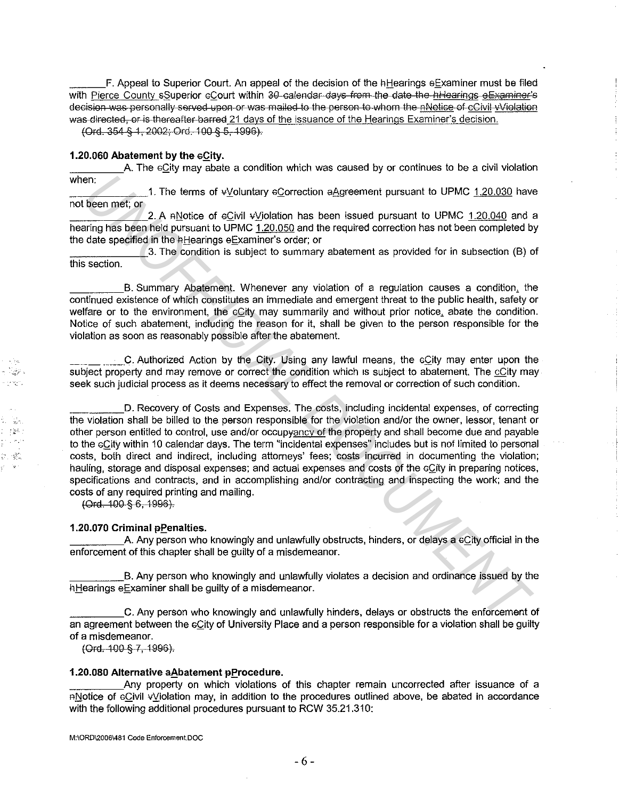F. Appeal to Superior Court. An appeal of the decision of the HHearings eExaminer must be filed with Pierce County sSuperior eCourt within 30-calendar days from the date-the hHearings eExaminer's decision was personally served upon or was mailed to the person to whom the nNotice of cCivil •/Violation was directed, or is thereafter barred 21 days of the issuance of the Hearings Examiner's decision.

(Ord. 354 § 1, 2002; Ord. 100 § 5, 1996).

#### **1.20.060 Abatement by the eCity.**

A. The eCity may abate a condition which was caused by or continues to be a civil violation when:

1. The terms of vVoluntary eCorrection aAgreement pursuant to UPMC 1.20.030 have not been met; or

2. A nNotice of eCivil vViolation has been issued pursuant to UPMC 1.20.040 and a hearing has been held pursuant to UPMC 1.20.050 and the required correction has not been completed by the date specified in the *hHearings eExaminer's order; or* 

\_\_\_\_\_\_ 3. The condition is subject to summary abatement as provided for in subsection (8) of this section.

B. Summary Abatement. Whenever any violation of a regulation causes a condition, the continued existence of which constitutes an immediate and emergent threat to the public health, safety or welfare or to the environment, the eCity may summarily and without prior notice, abate the condition. Notice of such abatement, including the reason for it, shall be given to the person responsible for the violation as soon as reasonably possible after the abatement.

C. Authorized Action by the City. Using any lawful means, the eCity may enter upon the  $\mathbb{R}^n$  subject property and may remove or correct the condition which is subject to abatement. The cCity may seek such judicial process as it deems necessary to effect the removal or correction of such condition.

D. Recovery of Costs and Expenses. The costs, including incidental expenses, of correcting the violation shall be billed to the person responsible for the violation and/or the owner, lessor, tenant or '2· other person entitled to control, use and/or occupyancy of the property and shall become due and payable to the cQity within 10 calendar days. The term "incidental expenses" includes but is not limited to personal the costs, both direct and indirect, including attorneys' fees; costs incurred in documenting the violation; hauling, storage and disposal expenses; and actual expenses and costs of the eQity in preparing notices, specifications and contracts, and in accomplishing and/or contracting and inspecting the work; and the costs of any required printing and mailing. **Example 1.** The terms of vigitarity eCorrection a&greentent pursuant to UPMC 1.20.030 have the computer of the CMC 1.20.040 have the computer of the CMC 1.20.040 and the computer of the CMC 1.20.040 and the computer of th

(Ord. 100 § 6, 1996).

#### **1.20.070 Criminal pPenalties.**

A. Any person who knowingly and unlawfully obstructs, hinders, or delays a cCity official in the enforcement of this chapter shall be guilty of a misdemeanor.

\_\_\_\_\_ 8. Any person who knowingly and unlawfully violates a decision and ordinance issued by the hHearings eExaminer shall be guilty of a misdemeanor.

\_\_\_\_\_ C. Any person who knowingly and unlawfully hinders, delays or obstructs the enforcement of an agreement between the eCity of University Place and a person responsible for a violation shall be guilty of a misdemeanor.

(Ord. 100 § 7, 1996).

#### **1.20.080 Alternative a Abatement pProcedure.**

Any property on which violations of this chapter remain uncorrected after issuance of a RNotice of eCivil vViolation may, in addition to the procedures outlined above, be abated in accordance with the following additional procedures pursuant to RCW 35.21.310;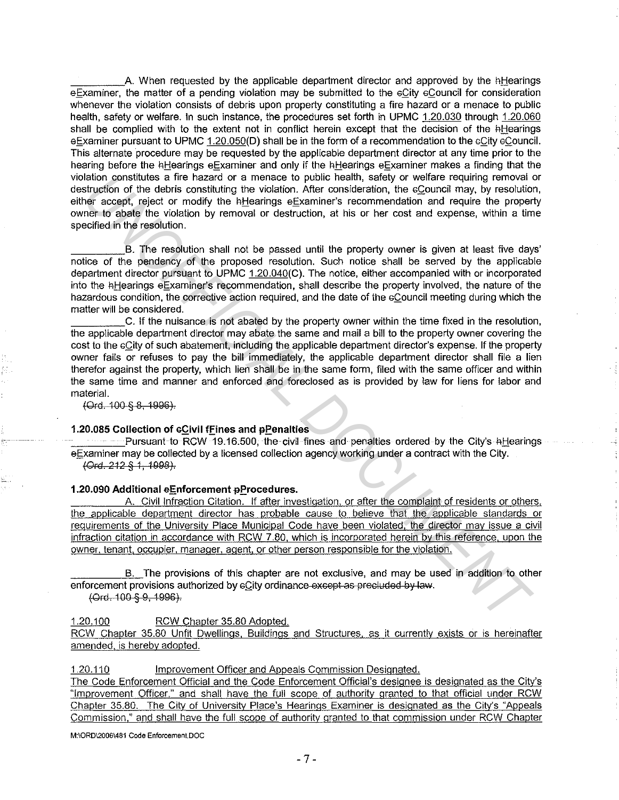A. When requested by the applicable department director and approved by the hHearings eExaminer, the matter of a pending violation may be submitted to the eCity eCouncil for consideration whenever the violation consists of debris upon property constituting a fire hazard or a menace to public health, safety or welfare. In such instance, the procedures set forth in UPMC 1.20.030 through 1.20.060 shall be complied with to the extent not in conflict herein except that the decision of the hHearings eExaminer pursuant to UPMC 1.20.050(D) shall be in the form of a recommendation to the eCity eCouncil. This alternate procedure may be requested by the applicable department director at any time prior to the hearing before the hHearings eExaminer and only if the hHearings eExaminer makes a finding that the violation constitutes a fire hazard or a menace to public health, safety or welfare requiring removal or destruction of the debris constituting the violation. After consideration, the eCouncil may, by resolution, either accept, reject or modify the hHearings eExaminer's recommendation and require the property owner to abate the violation by removal or destruction, at his or her cost and expense, within a time specified in the resolution.

B. The resolution shall not be passed until the property owner is given at least five days' notice of the pendency of the proposed resolution. Such notice shall be served by the applicable department director pursuant to UPMC 1.20.040(C). The notice, either accompanied with or incorporated into the hHearings eExaminer's recommendation, shall describe the property involved, the nature of the hazardous condition, the corrective action required, and the date of the eCouncil meeting during which the matter will be considered.

C. If the nuisance is not abated by the property owner within the time fixed in the resolution, the applicable department director may abate the same and mail a bill to the property owner covering the cost to the GQity of such abatement, including the applicable department director's expense. If the property owner fails or refuses to pay the bill immediately, the applicable department director shall file a lien therefor against the property, which lien shall be in the same form, filed with the same officer and within the same time and manner and enforced and foreclosed as is provided by law for liens for labor and material. **Each constitutes a fire hearard or a meanse to poisitic fealth, safely or welfare requiring permoval and the style of the debits constituting the violation. After consideration, the e2ouncil may, by resolution considerati** 

(Ord. 100 § g, 1999).

#### 1.20.085 Collection of c**Civil fFines and pPenalties**

**EXECUTES AND THE CONSTITUTES AND THE CIVIL FINES AND PENALTIES OF ALC CITY's FILE CITY'S FILE CALLS** eExaminer may be collected by a licensed collection agency working under a contract with the City. \{)rd. 212 *§* 1, 1998).

#### **1.20.090 Additional eEnforcement pProcedures.**

A. Civil Infraction Citation. If after investigation, or after the complaint of residents or others. the applicable department director has probable cause to believe that the applicable standards or requirements of the University Place Municipal Code have been violated. the director may issue a civil infraction citation in accordance with RCW 7.80, which is incorporated herein by this reference. upon the owner. tenant, occupier, manager. agent. or other person responsible for the violation.

B. The provisions of this chapter are not exclusive, and may be used in addition to other enforcement provisions authorized by  $eC$ ity ordinance-except as precluded by law.

(Ord. 100 § 9, 199@).

1.20.100 RCW Chapter 35.80 Adopted.

RCW Chapter 35.80 Unfit Dwellings, Buildings and Structures. as it currently exists or is hereinafter amended, is hereby adopted.

1.20.110 Improvement Officer and Appeals Commission Designated.

The Code Enforcement Official and the Code Enforcement Official's designee is designated as the City's "Improvement Officer," and shall have the full scope of authority granted to that official under RCW Chapter 35.80. The City of University Place's Hearings Examiner is designated as the City's "Appeals Commission," and shall have the full scope of authority granted to that commission under RCW Chapter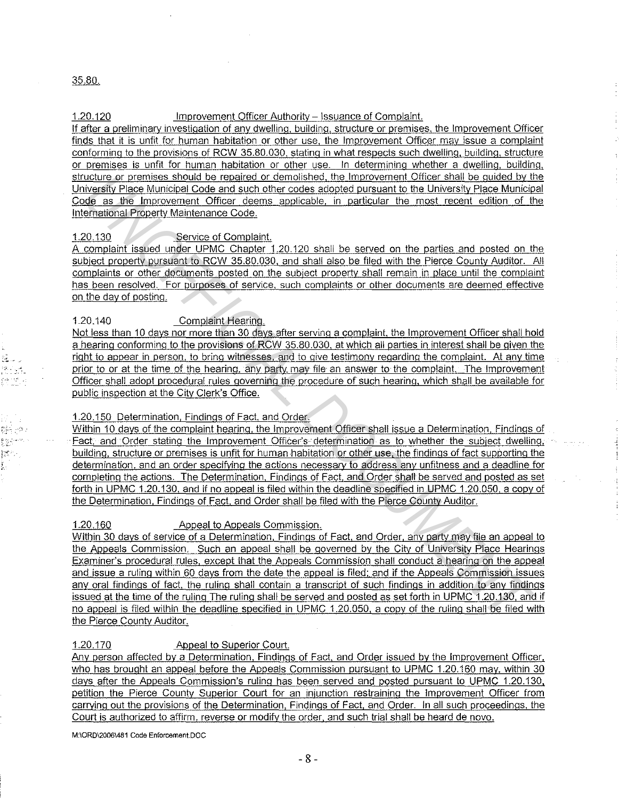### 35.80.

':;·. ,, '.

### 1.20.120 Improvement Officer Authority – Issuance of Complaint.

If after a preliminary investigation of any dwelling. building, structure or premises, the Improvement Officer finds that it is unfit for human habitation or other use, the Improvement Officer may issue a complaint conforming to the provisions of RCW 35.80.030, stating in what respects such dwelling, building, structure or premises is unfit for human habitation or other use. In determining whether a dwelling, building, structure or premises should be repaired or demolished, the Improvement Officer shall be guided by the University Place Municipal Code and such other codes adopted pursuant to the University Place Municipal Code as the Improvement Officer deems applicable, in particular the most recent edition of the International Property Maintenance Code.

# 1.20.130 Service of Complaint.

A complaint issued under UPMC Chapter 1.20.120 shall be served on the parties and posted on the subject property pursuant to RCW 35.80.030, and shall also be filed with the Pierce County Auditor. All complaints or other documents posted on the subject property shall remain in place until the complaint has been resolved. For purposes of service, such complaints or other documents are deemed effective on the day of posting.

# 1.20.140 Complaint Hearing.

Not less than 10 days nor more than 30 days after serving a complaint, the Improvement Officer shall hold a hearing conforming to the provisions of RCW 35.80.030, at which all parties in interest shall be given the right to appear in person, to bring witnesses, and to give testimony regarding the gomplaint. At any time prior to or at the time of the hearing, any party. mav file an answer to the complaint. The Improvement Officer shall adopt procedural rules governing the procedure of such hearing, which shall be available for public inspection at the City Clerk's Office.

# 1.20.150 Determination, Findings of Fact, and Order.

Within 10 days of the complaint hearing, the Improvement Officer shall issue a Determination, Findings of Fact. and Order stating the Improvement Officer's determination as to whether the subject dwelling, building, structure or premises is unfit for human habitation or other use, the findings of fact supporting the determination, and an order specifying the actions necessary to address any unfitness and a deadline for completing the actions. The Determination, Findings of Fact, and Order shall be served and posted as set forth in UPMC 1.20.130, and if no appeal is filed within the deadline specified in UPMC 1.20.050, a copy of the Determination, Findings of Fact. and Order shall be filed with the Pierce County Auditor.

# 1.20.160 Appeal to Appeals Commission.

Within 30 days of service of a Determination, Findings of Fact, and Order, any party may file an appeal to the Appeals Commission. Such an appeal shall be governed by the City of University Place Hearings Examiner's procedural rules, except that the Appeals Commission shall conduct a hearing on the appeal and issue a ruling within 60 days from the date the appeal is filed; and if the Appeals Commission issues any oral findings of fact, the ruling shall contain a transcript of such findings in addition to any findings issued at the time of the ruling The ruling shall be served and posted as set forth in UPMC 1.20.130, and if no appeal is filed within the deadline specified in UPMC 1.20.050, a copy of the ruling shall be filed with the Pierce County Auditor. uckure ar premises should be repaired or demolished. the improvement Officer shall be a uckled by the state of the state in the protocomputation in the state of the matricial Code and Spice Municipal code and Spice Municip

# 1.20.170 Appeal to Superior Court.

Any person affected by a Determination, Findings of Fact, and Order issued by the Improvement Officer, who has brought an appeal before the Appeals Commission pursuant to UPMC 1.20.160 may, within 30 days after the Appeals Commission's ruling has been served and posted pursuant to UPMC 1.20.130, petition the Pierce County Superior Court for an injunction restraining the Improvement Officer from carrving out the provisions of the Determination, Findings of Fact, and Order. In all such proceedings, the Court is authorized to affirm, reverse or modify the order, and such trial shall be heard de novo.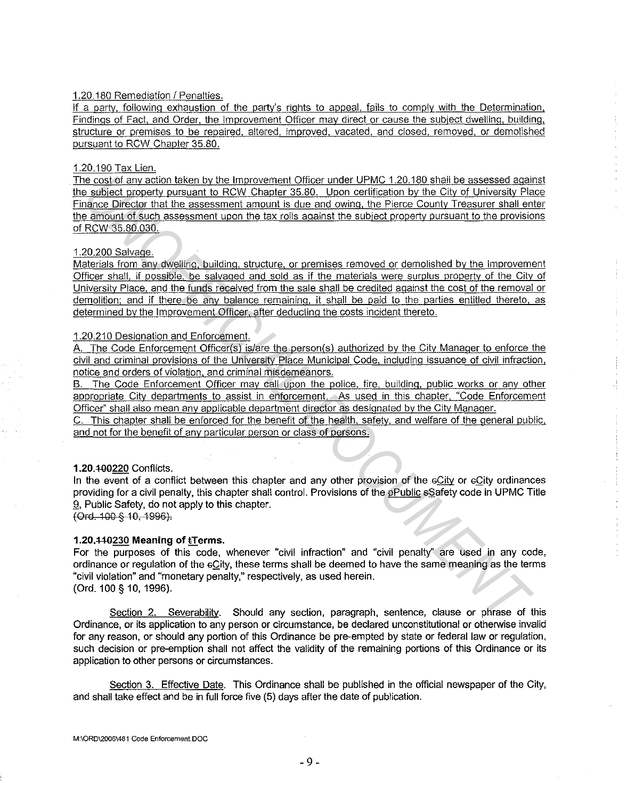### 1.20.180 Remediation I Penalties.

If a party, following exhaustion of the party's rights to appeal, fails to comply with the Determination. Findings of Fact, and Order. the Improvement Officer may direct or cause the subject dwelling. building, structure or premises to be repaired, altered, improved, vacated, and closed, removed. or demolished pursuant to RCW Chapter 35.80.

#### 1.20.190 Tax Lien.

The cost of any action taken by the Improvement Officer under UPMC 1.20.180 shall be assessed against the subject property pursuant to RCW Chapter 35.80. Upon certification by the City of University Place Finance Director that the assessment amount is due and owing, the Pierce County Treasurer shall enter the amount of such assessment upon the tax rolls against the subject property pursuant to the provisions of RCW 35.80.030. **Example Cost of any action lisken by the improvement Officer under UPMC 120.180 shells assessed against the SEW Channel Cost of a system of the material of the material of the material of a system of the material of a sys** 

#### 1.20.200 Salvage.

Materials from any dwelling, building, structure. or premises removed or demolished by the Improvement Officer shall, if possible, be salvaged and sold as if the materials were surplus property of the Citv of University Place, and the funds received from the sale shall be credited against the cost of the removal or demolition; and if there be any balance remaining. it shall be paid to the parties entitled thereto, as determined by the Improvement Officer, after deducting the costs incident thereto.

#### 1.20.210 Designation and Enforcement.

A. The Code Enforcement Officer(s) is/are the person(s) authorized by the City Manager to enforce the civil and criminal provisions of the University Place Municipal Code. including issuance of civil infraction, notice and orders of violation. and criminal misdemeanors.

B. The Code Enforcement Officer may call upon the police, fire, building, public works or any other appropriate City departments to assist in enforcement. As used in this chapter, "Code Enforcement Officer" shall also mean any applicable department director as designated by the City Manager.

C. This chapter shall be enforced for the benefit of the health. safety, and welfare of the general public, and not for the benefit of any particular person or class of persons.

# **1.20.t00220** Conflicts.

In the event of a conflict between this chapter and any other provision of the eCity or eCity ordinances providing for a civil penalty, this chapter shall control. Provisions of the ePublic sSafety code in UPMC Title 9, Public Safety, do not apply to this chapter. (Ord. 100 § 10, 1996).

# **1.20.440230 Meaning of tTerms.**

For the purposes of this code, whenever "civil infraction" and "civil penalty" are used in any code, ordinance or regulation of the eQity, these terms shall be deemed to have the same meaning as the terms "civil violation" and "monetary penalty," respectively, as used herein. (Ord. 100 § 10, 1996).

Section 2. Severability. Should any section, paragraph, sentence, clause or phrase of this Ordinance, or its application to any person or circumstance, be declared unconstitutional or otherwise invalid for any reason, or should any portion of this Ordinance be pre-empted by state or federal law or regulation, such decision or pre-emption shall not affect the validity of the remaining portions of this Ordinance or its application to other persons or circumstances.

Section 3. Effective Date. This Ordinance shall be published in the official newspaper of the City, and shall take effect and be in full force five (5) days after the date of publication.